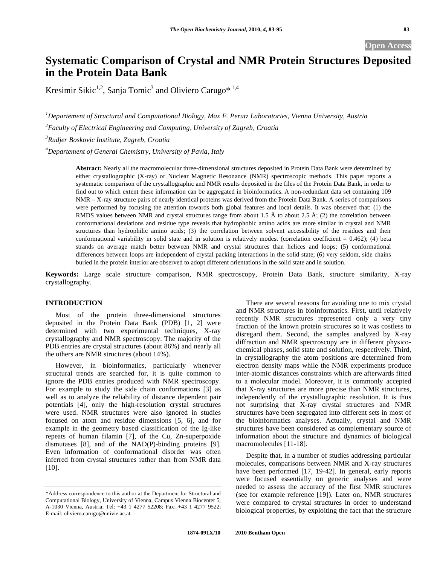# **Systematic Comparison of Crystal and NMR Protein Structures Deposited in the Protein Data Bank**

Kresimir Sikic<sup>1,2</sup>, Sanja Tomic<sup>3</sup> and Oliviero Carugo\*<sup>,1,4</sup>

*1 Departement of Structural and Computational Biology, Max F. Perutz Laboratories, Vienna University, Austria* 

*2 Faculty of Electrical Engineering and Computing, University of Zagreb, Croatia* 

*3 Rudjer Boskovic Institute, Zagreb, Croatia* 

*4 Departement of General Chemistry, University of Pavia, Italy* 

**Abstract:** Nearly all the macromolecular three-dimensional structures deposited in Protein Data Bank were determined by either crystallographic (X-ray) or Nuclear Magnetic Resonance (NMR) spectroscopic methods. This paper reports a systematic comparison of the crystallographic and NMR results deposited in the files of the Protein Data Bank, in order to find out to which extent these information can be aggregated in bioinformatics. A non-redundant data set containing 109 NMR – X-ray structure pairs of nearly identical proteins was derived from the Protein Data Bank. A series of comparisons were performed by focusing the attention towards both global features and local details. It was observed that: (1) the RMDS values between NMR and crystal structures range from about 1.5 Å to about 2.5 Å; (2) the correlation between conformational deviations and residue type reveals that hydrophobic amino acids are more similar in crystal and NMR structures than hydrophilic amino acids; (3) the correlation between solvent accessibility of the residues and their conformational variability in solid state and in solution is relatively modest (correlation coefficient  $= 0.462$ ); (4) beta strands on average match better between NMR and crystal structures than helices and loops; (5) conformational differences between loops are independent of crystal packing interactions in the solid state; (6) very seldom, side chains buried in the protein interior are observed to adopt different orientations in the solid state and in solution.

**Keywords:** Large scale structure comparison, NMR spectroscopy, Protein Data Bank, structure similarity, X-ray crystallography.

# **INTRODUCTION**

 Most of the protein three-dimensional structures deposited in the Protein Data Bank (PDB) [1, 2] were determined with two experimental techniques, X-ray crystallography and NMR spectroscopy. The majority of the PDB entries are crystal structures (about 86%) and nearly all the others are NMR structures (about 14%).

 However, in bioinformatics, particularly whenever structural trends are searched for, it is quite common to ignore the PDB entries produced with NMR spectroscopy. For example to study the side chain conformations [3] as well as to analyze the reliability of distance dependent pair potentials [4], only the high-resolution crystal structures were used. NMR structures were also ignored in studies focused on atom and residue dimensions [5, 6], and for example in the geometry based classification of the Ig-like repeats of human filamin [7], of the Cu, Zn-superpoxide dismutases [8], and of the NAD(P)-binding proteins [9]. Even information of conformational disorder was often inferred from crystal structures rather than from NMR data [10].

 There are several reasons for avoiding one to mix crystal and NMR structures in bioinformatics. First, until relatively recently NMR structures represented only a very tiny fraction of the known protein structures so it was costless to disregard them. Second, the samples analyzed by X-ray diffraction and NMR spectroscopy are in different physicochemical phases, solid state and solution, respectively. Third, in crystallography the atom positions are determined from electron density maps while the NMR experiments produce inter-atomic distances constraints which are afterwards fitted to a molecular model. Moreover, it is commonly accepted that X-ray structures are more precise than NMR structures, independently of the crystallographic resolution. It is thus not surprising that X-ray crystal structures and NMR structures have been segregated into different sets in most of the bioinformatics analyses. Actually, crystal and NMR structures have been considered as complementary source of information about the structure and dynamics of biological macromolecules [11-18].

 Despite that, in a number of studies addressing particular molecules, comparisons between NMR and X-ray structures have been performed [17, 19-42]. In general, early reports were focused essentially on generic analyses and were needed to assess the accuracy of the first NMR structures (see for example reference [19]). Later on, NMR structures were compared to crystal structures in order to understand biological properties, by exploiting the fact that the structure

<sup>\*</sup>Address correspondence to this author at the Department for Structural and Computational Biology, University of Vienna, Campus Vienna Biocenter 5, A-1030 Vienna, Austria; Tel: +43 1 4277 52208; Fax: +43 1 4277 9522; E-mail: oliviero.carugo@univie.ac.at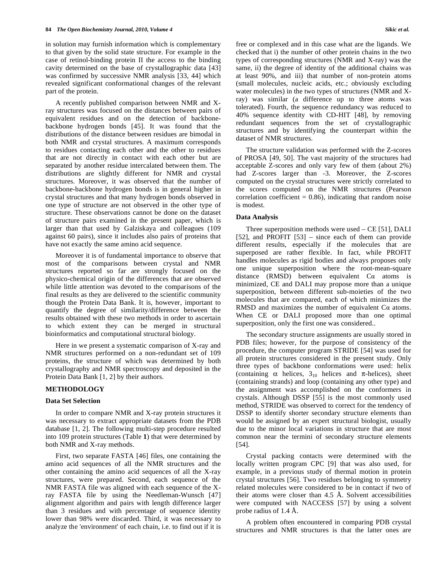in solution may furnish information which is complementary to that given by the solid state structure. For example in the case of retinol-binding protein II the access to the binding cavity determined on the base of crystallographic data [43] was confirmed by successive NMR analysis [33, 44] which revealed significant conformational changes of the relevant part of the protein.

 A recently published comparison between NMR and Xray structures was focused on the distances between pairs of equivalent residues and on the detection of backbonebackbone hydrogen bonds [45]. It was found that the distributions of the distance between residues are bimodal in both NMR and crystal structures. A maximum corresponds to residues contacting each other and the other to residues that are not directly in contact with each other but are separated by another residue intercalated between them. The distributions are slightly different for NMR and crystal structures. Moreover, it was observed that the number of backbone-backbone hydrogen bonds is in general higher in crystal structures and that many hydrogen bonds observed in one type of structure are not observed in the other type of structure. These observations cannot be done on the dataset of structure pairs examined in the present paper, which is larger than that used by Galziskaya and colleagues (109 against 60 pairs), since it includes also pairs of proteins that have not exactly the same amino acid sequence.

 Moreover it is of fundamental importance to observe that most of the comparisons between crystal and NMR structures reported so far are strongly focused on the physico-chemical origin of the differences that are observed while little attention was devoted to the comparisons of the final results as they are delivered to the scientific community though the Protein Data Bank. It is, however, important to quantify the degree of similarity/difference between the results obtained with these two methods in order to ascertain to which extent they can be merged in structural bioinformatics and computational structural biology.

 Here in we present a systematic comparison of X-ray and NMR structures performed on a non-redundant set of 109 proteins, the structure of which was determined by both crystallography and NMR spectroscopy and deposited in the Protein Data Bank [1, 2] by their authors.

## **METHODOLOGY**

#### **Data Set Selection**

 In order to compare NMR and X-ray protein structures it was necessary to extract appropriate datasets from the PDB database [1, 2]. The following multi-step procedure resulted into 109 protein structures (Table **1**) that were determined by both NMR and X-ray methods.

 First, two separate FASTA [46] files, one containing the amino acid sequences of all the NMR structures and the other containing the amino acid sequences of all the X-ray structures, were prepared. Second, each sequence of the NMR FASTA file was aligned with each sequence of the Xray FASTA file by using the Needleman-Wunsch [47] alignment algorithm and pairs with length difference larger than 3 residues and with percentage of sequence identity lower than 98% were discarded. Third, it was necessary to analyze the 'environment' of each chain, i.e. to find out if it is

free or complexed and in this case what are the ligands. We checked that i) the number of other protein chains in the two types of corresponding structures (NMR and X-ray) was the same, ii) the degree of identity of the additional chains was at least 90%, and iii) that number of non-protein atoms (small molecules, nucleic acids, etc.; obviously excluding water molecules) in the two types of structures (NMR and Xray) was similar (a difference up to three atoms was tolerated). Fourth, the sequence redundancy was reduced to 40% sequence identity with CD-HIT [48], by removing redundant sequences from the set of crystallographic structures and by identifying the counterpart within the dataset of NMR structures.

 The structure validation was performed with the Z-scores of PROSA [49, 50]. The vast majority of the structures had acceptable Z-scores and only vary few of them (about 2%) had Z-scores larger than -3. Moreover, the Z-scores computed on the crystal structures were strictly correlated to the scores computed on the NMR structures (Pearson correlation coefficient  $= 0.86$ ), indicating that random noise is modest.

#### **Data Analysis**

 Three superposition methods were used – CE [51], DALI [52], and PROFIT [53] – since each of them can provide different results, especially if the molecules that are superposed are rather flexible. In fact, while PROFIT handles molecules as rigid bodies and always proposes only one unique superposition where the root-mean-square distance (RMSD) between equivalent  $Ca$  atoms is minimized, CE and DALI may propose more than a unique superposition, between different sub-moieties of the two molecules that are compared, each of which minimizes the RMSD and maximizes the number of equivalent  $Ca$  atoms. When CE or DALI proposed more than one optimal superposition, only the first one was considered..

 The secondary structure assignments are usually stored in PDB files; however, for the purpose of consistency of the procedure, the computer program STRIDE [54] was used for all protein structures considered in the present study. Only three types of backbone conformations were used: helix (containing  $\alpha$  helices,  $\beta_{10}$  helices and  $\pi$ -helices), sheet (containing strands) and loop (containing any other type) and the assignment was accomplished on the conformers in crystals. Although DSSP [55] is the most commonly used method, STRIDE was observed to correct for the tendency of DSSP to identify shorter secondary structure elements than would be assigned by an expert structural biologist, usually due to the minor local variations in structure that are most common near the termini of secondary structure elements [54].

 Crystal packing contacts were determined with the locally written program CPC [9] that was also used, for example, in a previous study of thermal motion in protein crystal structures [56]. Two residues belonging to symmetry related molecules were considered to be in contact if two of their atoms were closer than 4.5 Å. Solvent accessibilities were computed with NACCESS [57] by using a solvent probe radius of 1.4 Å.

 A problem often encountered in comparing PDB crystal structures and NMR structures is that the latter ones are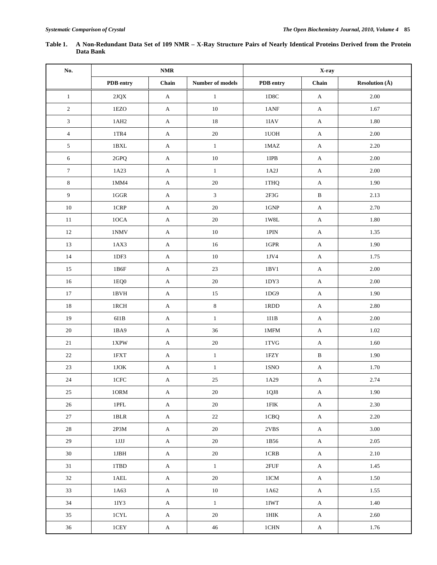| No.              |                            | $\mathbf{NMR}$ |                  |                    | X-ray                     |                               |  |
|------------------|----------------------------|----------------|------------------|--------------------|---------------------------|-------------------------------|--|
|                  | PDB entry                  | Chain          | Number of models | PDB entry          | Chain                     | <b>Resolution</b> $(\hat{A})$ |  |
| $\mathbf{1}$     | $2 {\rm J} {\rm Q}{\rm X}$ | $\mathbf A$    | $\mathbf{1}$     | 1D8C               | $\boldsymbol{\mathsf{A}}$ | 2.00                          |  |
| $\sqrt{2}$       | 1EZO                       | $\mathbf A$    | $10\,$           | 1ANF               | $\boldsymbol{\mathsf{A}}$ | 1.67                          |  |
| $\mathfrak{Z}$   | $1AH2$                     | $\mathbf{A}$   | $18\,$           | $1\mbox{IAV}$      | $\mathbf A$               | $1.80\,$                      |  |
| $\overline{4}$   | 1TR4                       | $\mathbf{A}$   | 20               | $1\mathrm{UOH}$    | A                         | 2.00                          |  |
| $\mathfrak{S}$   | $1{\rm BXL}$               | A              | $\mathbf{1}$     | $1\text{MAZ}$      | A                         | 2.20                          |  |
| 6                | 2GPQ                       | $\mathbf{A}$   | $10\,$           | $1$ IPB $\,$       | $\mathbf{A}$              | 2.00                          |  |
| $\boldsymbol{7}$ | 1A23                       | $\mathbf A$    | $\,1$            | 1A2J               | A                         | 2.00                          |  |
| 8                | 1MM4                       | $\mathbf A$    | $20\,$           | 1THQ               | $\mathbf{A}$              | 1.90                          |  |
| $\overline{9}$   | $1\mbox{GGR}$              | $\mathbf{A}$   | $\overline{3}$   | $2{\rm F}3{\rm G}$ | $\, {\bf B}$              | 2.13                          |  |
| $10\,$           | $1\mathrm{CRP}$            | $\mathbf{A}$   | $20\,$           | $1{\rm GNP}$       | $\boldsymbol{\mathsf{A}}$ | 2.70                          |  |
| 11               | $10CA$                     | $\mathbf{A}$   | $20\,$           | $1\mathrm{W8L}$    | $\mathbf{A}$              | 1.80                          |  |
| 12               | $1\mathrm{NMV}$            | $\mathbf{A}$   | $10\,$           | $1\mathrm{PIN}$    | $\mathbf{A}$              | 1.35                          |  |
| 13               | 1AX3                       | $\mathbf{A}$   | $16\,$           | $1\mbox{GPR}$      | $\mathbf{A}$              | 1.90                          |  |
| 14               | 1DF3                       | $\mathbf{A}$   | $10\,$           | 1JV4               | $\boldsymbol{\mathsf{A}}$ | 1.75                          |  |
| 15               | 1B6F                       | $\mathbf A$    | 23               | $1\mathrm{BV}1$    | $\mathbf{A}$              | 2.00                          |  |
| 16               | 1EQ0                       | $\mathbf{A}$   | $20\,$           | 1DY3               | $\boldsymbol{\mathsf{A}}$ | 2.00                          |  |
| $17\,$           | 1BVH                       | $\mathbf{A}$   | $15\,$           | 1DG9               | $\mathbf{A}$              | 1.90                          |  |
| $18\,$           | $1{\rm RCH}$               | $\mathbf A$    | $\,8\,$          | $1{\rm RDD}$       | $\boldsymbol{\mathsf{A}}$ | 2.80                          |  |
| 19               | $6I1B$                     | $\mathbf{A}$   | $\,1$            | $111B$             | $\mathbf{A}$              | $2.00\,$                      |  |
| $20\,$           | 1BA9                       | $\mathbf{A}$   | 36               | $1\mathrm{MFM}$    | A                         | 1.02                          |  |
| $21\,$           | 1XPW                       | A              | $20\,$           | $1\mathrm{TVG}$    | A                         | 1.60                          |  |
| $22\,$           | $1\mathrm{FXT}$            | $\mathbf{A}$   | $\,1\,$          | $1{\rm FZY}$       | $\, {\bf B}$              | 1.90                          |  |
| 23               | $1\ensuremath{\text{JOK}}$ | $\mathbf{A}$   | $\,1$            | 1SNO               | $\boldsymbol{\mathsf{A}}$ | 1.70                          |  |
| $24\,$           | $1{\mathrm{CFC}}$          | $\mathbf{A}$   | $25\,$           | 1A29               | $\boldsymbol{\mathsf{A}}$ | 2.74                          |  |
| 25               | $10\mathrm{RM}$            | $\mathbf{A}$   | $20\,$           | $1QJ8$             | $\mathbf{A}$              | 1.90                          |  |
| $26\,$           | $1\mathrm{PFL}$            | $\mathbf A$    | 20               | $1\mathrm{FIK}$    | $\mathbf A$               | 2.30                          |  |
| 27               | $1{\rm BLR}$               | $\mathbf{A}$   | 22               | 1CBQ               | $\mathbf{A}$              | 2.20                          |  |
| 28               | $2\mathrm{P}3\mathrm{M}$   | $\mathbf{A}$   | 20               | $2\mathrm{VBS}$    | $\mathbf{A}$              | 3.00                          |  |
| 29               | $1\,\mathrm{JJJ}$          | $\mathbf{A}$   | 20               | 1B56               | $\mathbf{A}$              | 2.05                          |  |
| 30               | $1\mathrm{JBH}$            | $\mathbf{A}$   | 20               | $1\mathrm{CRB}$    | $\mathbf{A}$              | 2.10                          |  |
| $31\,$           | $1\mathbf{TBD}$            | $\mathbf A$    | $1\,$            | $2{\rm FUF}$       | $\mathbf{A}$              | 1.45                          |  |
| 32               | $1\mbox{\sf AEL}$          | $\mathbf A$    | 20               | 1ICM               | $\mathbf{A}$              | 1.50                          |  |
| 33               | 1A63                       | $\mathbf A$    | $10\,$           | $1A62$             | $\mathbf{A}$              | 1.55                          |  |
| 34               | 1IY3                       | $\mathbf{A}$   | $1\,$            | $1\mathrm{IWT}$    | $\mathbf A$               | 1.40                          |  |
| 35               | $1{\rm CYL}$               | $\mathbf{A}$   | 20               | $1\mathrm{HK}$     | $\mathbf{A}$              | 2.60                          |  |
| $36\,$           | $1{\rm CEV}$               | $\mathbf{A}$   | 46               | $1{\rm CHN}$       | $\mathbf A$               | 1.76                          |  |

# **Table 1. A Non-Redundant Data Set of 109 NMR – X-Ray Structure Pairs of Nearly Identical Proteins Derived from the Protein Data Bank**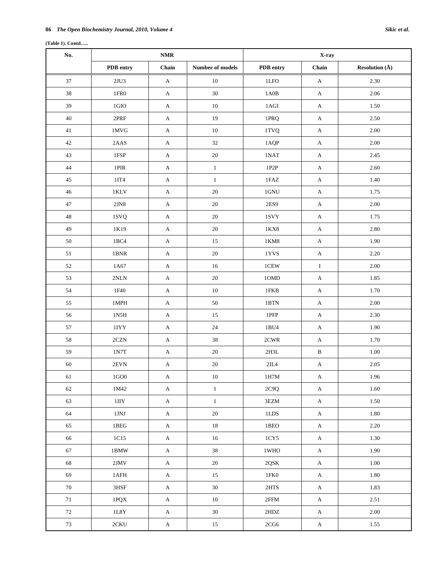# **(Table 1). Contd…..**

| No.    | $\mathbf{NMR}$                    |                           | X-ray            |                                   |              |                               |
|--------|-----------------------------------|---------------------------|------------------|-----------------------------------|--------------|-------------------------------|
|        | PDB entry                         | Chain                     | Number of models | PDB entry                         | Chain        | <b>Resolution</b> $(\hat{A})$ |
| 37     | $2{\rm J}{\rm U}3$                | $\boldsymbol{\mathsf{A}}$ | 10               | $1\mathrm{LFO}$                   | $\mathbf{A}$ | 2.30                          |
| 38     | $1\mathrm{FR}0$                   | $\mathbf{A}$              | $30\,$           | $1A0B$                            | $\mathbf{A}$ | 2.06                          |
| 39     | $1 \text{GIO}$                    | $\mathbf{A}$              | 10               | $1{\rm AGI}$                      | $\mathbf{A}$ | 1.50                          |
| 40     | $2\ensuremath{\mathsf{PRF}}$      | $\mathbf{A}$              | 19               | $1\ensuremath{\mathsf{PRQ}}$      | $\mathbf{A}$ | 2.50                          |
| 41     | $1\,\mathrm{MVG}$                 | $\boldsymbol{\mathsf{A}}$ | $10\,$           | 1TVQ                              | $\mathbf{A}$ | 2.00                          |
| 42     | $2AAS$                            | $\mathbf A$               | $32\,$           | 1AQP                              | $\mathbf{A}$ | 2.00                          |
| 43     | 1FSP                              | $\mathbf{A}$              | $20\,$           | $1\mathrm{NAT}$                   | $\mathbf{A}$ | 2.45                          |
| $44\,$ | $1\mathrm{PIR}$                   | $\mathbf{A}$              | $\mathbf{1}$     | $1{\rm P2P}$                      | $\mathbf{A}$ | 2.60                          |
| 45     | $1\mathrm{IT}4$                   | $\mathbf{A}$              | $\mathbf{1}$     | $1\mbox{FAZ}$                     | A            | 1.40                          |
| $46\,$ | $1\,\mathrm{KLV}$                 | $\mathbf{A}$              | $20\,$           | $1\mathrm{GNU}$                   | $\mathbf A$  | 1.75                          |
| 47     | 2JN8                              | $\mathbf{A}$              | 20               | 2ES9                              | A            | 2.00                          |
| 48     | $1{\rm SVQ}$                      | $\mathbf{A}$              | $20\,$           | $1{\rm SVY}$                      | $\mathbf{A}$ | 1.75                          |
| 49     | 1K19                              | $\mathbf{A}$              | $20\,$           | $1\mathrm{K} \mathrm{X} 8$        | $\mathbf{A}$ | 2.80                          |
| 50     | 1BC4                              | $\mathbf A$               | $15\,$           | $1\mathrm{KM}8$                   | $\mathbf{A}$ | 1.90                          |
| 51     | 1BNR                              | $\mathbf A$               | $20\,$           | $1{\rm YVS}$                      | $\mathbf{A}$ | 2.20                          |
| $52\,$ | 1A67                              | $\boldsymbol{\mathsf{A}}$ | $16\,$           | $1\mathrm{CEW}$                   | $\rm I$      | 2.00                          |
| 53     | $2{\rm NLN}$                      | $\boldsymbol{\mathsf{A}}$ | $20\,$           | $10\mbox{MD}$                     | $\mathbf{A}$ | 1.85                          |
| 54     | $1\mathrm{F}40$                   | $\mathbf{A}$              | 10               | $1{\rm FKB}$                      | $\mathbf{A}$ | 1.70                          |
| 55     | $1\mathrm{MPH}$                   | $\mathbf{A}$              | $50\,$           | $1\mathrm{BTN}$                   | $\mathbf{A}$ | 2.00                          |
| 56     | $1\mathrm{N}5\mathrm{H}$          | $\mathbf{A}$              | $15\,$           | $1{\rm PFP}$                      | $\mathbf{A}$ | 2.30                          |
| 57     | 1IYY                              | $\mathbf{A}$              | $24\,$           | $1\,\mathrm{BU}4$                 | $\mathbf{A}$ | 1.90                          |
| $58\,$ | $2{\rm CZN}$                      | $\mathbf A$               | $38\,$           | $2{\mathrm{CWR}}$                 | $\mathbf{A}$ | 1.70                          |
| 59     | $1\mathrm{N}7\mathrm{T}$          | $\boldsymbol{\mathsf{A}}$ | $20\,$           | $2\mathrm{H3L}$                   | $\, {\bf B}$ | 1.00                          |
| $60\,$ | $2{\rm EVN}$                      | $\boldsymbol{\mathsf{A}}$ | $20\,$           | $2\mathrm{II}A$                   | $\mathbf A$  | 2.05                          |
| 61     | $1\mathrm{GO}0$                   | $\mathbf{A}$              | $10\,$           | $1\mathrm{H}7\mathrm{M}$          | $\mathbf{A}$ | 1.96                          |
| 62     | 1M42                              | $\mathbf A$               | $\,1\,$          | 2C9Q                              | $\mathbf{A}$ | 1.60                          |
| 63     | $1 \text{IIY}$                    | $\mathbf A$               | $\,1\,$          | $3\mathrm{EZM}$                   | $\mathbf{A}$ | 1.50                          |
| 64     | $1\!\!{\rm JNJ}$                  | $\mathbf A$               | $20\,$           | $1{\rm LDS}$                      | $\mathbf{A}$ | 1.80                          |
| 65     | $1\mathrm{B}\mathrm{E}\mathrm{G}$ | $\mathbf A$               | $18\,$           | $1\mathrm{B}\mathrm{E}\mathrm{O}$ | $\mathbf{A}$ | 2.20                          |
| 66     | 1C15                              | $\mathbf A$               | $16\,$           | $1{\rm CY5}$                      | $\mathbf A$  | 1.30                          |
| 67     | 1BMW                              | $\mathbf A$               | $38\,$           | $1\rm{WHO}$                       | $\mathbf{A}$ | 1.90                          |
| 68     | $2\mathrm{JMV}$                   | $\mathbf A$               | $20\,$           | $2{\mathrm{QSK}}$                 | $\mathbf{A}$ | $1.00\,$                      |
| 69     | 1AFH                              | $\mathbf A$               | 15               | $1\mathrm{FK}0$                   | $\mathbf{A}$ | $1.80\,$                      |
| $70\,$ | $3\mathrm{H}\mathrm{SF}$          | $\mathbf A$               | $30\,$           | $2\mathrm{HTS}$                   | $\mathbf A$  | 1.83                          |
| 71     | $1{\hbox{PQX}}$                   | $\mathbf A$               | 10               | $2{\rm FFM}$                      | $\mathbf{A}$ | 2.51                          |
| 72     | $1\mathrm{L8Y}$                   | $\mathbf{A}$              | $30\,$           | $2{\rm HDZ}$                      | $\mathbf A$  | 2.00                          |
| 73     | $2{\mathrm{CKU}}$                 | $\mathbf A$               | 15               | $2{\rm CG}6$                      | $\mathbf A$  | 1.55                          |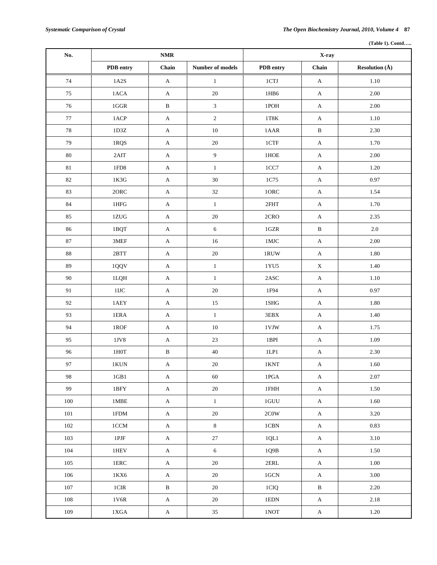|  | (Table 1). Contd |
|--|------------------|
|  |                  |

| No.     | $\mathbf{NMR}$                    |              |                  | X-ray                    |                           |                           |
|---------|-----------------------------------|--------------|------------------|--------------------------|---------------------------|---------------------------|
|         | PDB entry                         | Chain        | Number of models | PDB entry                | Chain                     | <b>Resolution</b> $(\AA)$ |
| 74      | $1A2S$                            | $\mathbf A$  | $\mathbf{1}$     | $1{\rm CTJ}$             | $\mathbf{A}$              | $1.10\,$                  |
| 75      | 1ACA                              | $\mathbf{A}$ | $20\,$           | $1\mathrm{HB}6$          | $\mathbf{A}$              | $2.00\,$                  |
| 76      | $1\mathrm{GGR}$                   | $\, {\bf B}$ | $\mathfrak{Z}$   | $1\mathrm{POH}$          | $\boldsymbol{\mathsf{A}}$ | $2.00\,$                  |
| $77\,$  | $1 ACP$                           | $\mathbf A$  | $\sqrt{2}$       | $1\mathrm{T}8\mathrm{K}$ | $\boldsymbol{\mathsf{A}}$ | 1.10                      |
| 78      | $1\mathrm{D}3\mathrm{Z}$          | $\mathbf{A}$ | $10\,$           | $1AAR$                   | $\, {\bf B}$              | 2.30                      |
| 79      | 1RQS                              | $\mathbf A$  | $20\,$           | $1{\mathrm{CTF}}$        | $\mathbf A$               | 1.70                      |
| $80\,$  | 2AIT                              | $\mathbf A$  | $\boldsymbol{9}$ | $1\mathrm{HOE}$          | $\mathbf A$               | $2.00\,$                  |
| $81\,$  | $1\mathrm{FD}8$                   | $\mathbf{A}$ | $\,1$            | $1CC7$                   | $\boldsymbol{\mathsf{A}}$ | $1.20\,$                  |
| 82      | $1K3G$                            | $\mathbf{A}$ | 30               | 1C75                     | $\boldsymbol{\mathsf{A}}$ | 0.97                      |
| 83      | $2\mbox{ORC}$                     | $\mathbf{A}$ | $32\,$           | $10\mathrm{RC}$          | $\mathbf{A}$              | 1.54                      |
| 84      | $1\mathrm{HFG}$                   | $\mathbf A$  | $\mathbf{1}$     | 2FHT                     | $\boldsymbol{\mathsf{A}}$ | 1.70                      |
| 85      | $1{\rm ZUG}$                      | $\mathbf{A}$ | $20\,$           | 2CRO                     | $\mathbf A$               | 2.35                      |
| 86      | 1BQT                              | $\mathbf{A}$ | $\sqrt{6}$       | $1{\rm GZR}$             | $\, {\bf B}$              | $2.0\,$                   |
| $87\,$  | 3MEF                              | $\mathbf A$  | $16\,$           | $1\mathrm{MIC}$          | $\mathbf A$               | $2.00\,$                  |
| $88\,$  | $2\mathrm{BTT}$                   | $\mathbf A$  | $20\,$           | $1{\rm RUW}$             | $\boldsymbol{\mathsf{A}}$ | 1.80                      |
| 89      | $1 \mbox{QQV}$                    | $\mathbf{A}$ | $\,1\,$          | $1{\rm YU5}$             | $\mathbf X$               | 1.40                      |
| 90      | 1LQH                              | $\mathbf{A}$ | $\,1\,$          | $2\mathsf{ASC}$          | $\mathbf A$               | $1.10\,$                  |
| 91      | $1\mathrm{IJC}$                   | $\mathbf A$  | $20\,$           | 1F94                     | $\boldsymbol{\mathsf{A}}$ | 0.97                      |
| 92      | $1\mathrm{A}\mathrm{E}\mathrm{Y}$ | $\mathbf{A}$ | 15               | $1\mathrm{SHG}$          | $\boldsymbol{\mathsf{A}}$ | $1.80\,$                  |
| 93      | $1ERA$                            | $\mathbf{A}$ | $\,1$            | $3\mathrm{EBX}$          | $\boldsymbol{\mathsf{A}}$ | 1.40                      |
| 94      | $1\mathrm{ROF}$                   | $\mathbf{A}$ | $10\,$           | $1\textrm{VJW}$          | $\mathbf A$               | 1.75                      |
| 95      | $1\rm{JV8}$                       | $\mathbf A$  | $23\,$           | $1\,\mathrm{BPI}$        | $\boldsymbol{\mathsf{A}}$ | 1.09                      |
| 96      | $1\mathrm{HOT}$                   | $\, {\bf B}$ | $40\,$           | $1LP1$                   | $\mathbf A$               | 2.30                      |
| 97      | 1KUN                              | $\mathbf{A}$ | $20\,$           | 1KNT                     | $\mathbf{A}$              | 1.60                      |
| 98      | 1GB1                              | A            | 60               | 1PGA                     | A                         | 2.07                      |
| 99      | $1\mathrm{BFY}$                   | $\bf{A}$     | $20\,$           | $1$ FHH                  | $\mathbf A$               | 1.50                      |
| 100     | $1\mathrm{MBE}$                   | A            | $\mathbf{1}$     | $1 {\rm GUU}$            | $\mathbf A$               | 1.60                      |
| 101     | $1{\rm FDM}$                      | $\mathbf{A}$ | $20\,$           | $2\mathrm{COW}$          | $\mathbf A$               | 3.20                      |
| 102     | $1{\rm CCM}$                      | $\mathbf{A}$ | $8\,$            | $1\mathrm{CBN}$          | $\mathbf A$               | 0.83                      |
| 103     | $1\mathrm{PJF}$                   | $\mathbf{A}$ | $27\,$           | 1QL1                     | $\mathbf A$               | 3.10                      |
| $104\,$ | $1\mathrm{HEV}$                   | $\mathbf{A}$ | 6                | $1\mathrm{Q}9\mathrm{B}$ | $\mathbf A$               | 1.50                      |
| 105     | $1\mathrm{ERC}$                   | A            | 20               | $2\mathrm{ERL}$          | $\mathbf A$               | $1.00\,$                  |
| $106\,$ | 1KX6                              | $\mathbf{A}$ | 20               | $1 \mbox{GCN}$           | $\mathbf A$               | $3.00\,$                  |
| 107     | $1\mathrm{CIR}$                   | B            | 20               | 1CIQ                     | $\, {\bf B}$              | 2.20                      |
| 108     | $1\mathrm{V}6\mathrm{R}$          | $\mathbf{A}$ | 20               | $1\mathrm{EDN}$          | $\mathbf A$               | 2.18                      |
| 109     | $1{\rm XGA}$                      | $\mathbf{A}$ | 35               | $1\mathrm{NOT}$          | $\mathbf A$               | 1.20                      |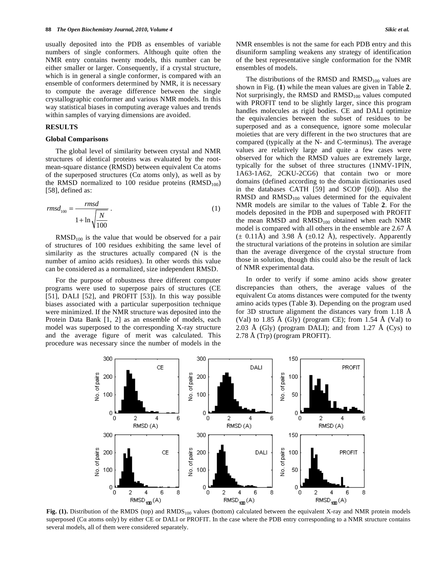usually deposited into the PDB as ensembles of variable numbers of single conformers. Although quite often the NMR entry contains twenty models, this number can be either smaller or larger. Consequently, if a crystal structure, which is in general a single conformer, is compared with an ensemble of conformers determined by NMR, it is necessary to compute the average difference between the single crystallographic conformer and various NMR models. In this way statistical biases in computing average values and trends within samples of varying dimensions are avoided.

#### **RESULTS**

#### **Global Comparisons**

 The global level of similarity between crystal and NMR structures of identical proteins was evaluated by the rootmean-square distance (RMSD) between equivalent  $Ca$  atoms of the superposed structures ( $Ca$  atoms only), as well as by the RMSD normalized to 100 residue proteins  $(RMSD_{100})$ [58], defined as:

$$
rmsd_{100} = \frac{rmsd}{1 + \ln\sqrt{\frac{N}{100}}} \tag{1}
$$

 $RMSD<sub>100</sub>$  is the value that would be observed for a pair of structures of 100 residues exhibiting the same level of similarity as the structures actually compared (N is the number of amino acids residues). In other words this value can be considered as a normalized, size independent RMSD.

 For the purpose of robustness three different computer programs were used to superpose pairs of structures (CE [51], DALI [52], and PROFIT [53]). In this way possible biases associated with a particular superposition technique were minimized. If the NMR structure was deposited into the Protein Data Bank [1, 2] as an ensemble of models, each model was superposed to the corresponding X-ray structure and the average figure of merit was calculated. This procedure was necessary since the number of models in the NMR ensembles is not the same for each PDB entry and this disuniform sampling weakens any strategy of identification of the best representative single conformation for the NMR ensembles of models.

The distributions of the RMSD and  $RMSD<sub>100</sub>$  values are shown in Fig. (**1**) while the mean values are given in Table **2**. Not surprisingly, the RMSD and  $RMSD<sub>100</sub>$  values computed with PROFIT tend to be slightly larger, since this program handles molecules as rigid bodies. CE and DALI optimize the equivalencies between the subset of residues to be superposed and as a consequence, ignore some molecular moieties that are very different in the two structures that are compared (typically at the N- and C-terminus). The average values are relatively large and quite a few cases were observed for which the RMSD values are extremely large, typically for the subset of three structures (1NMV-1PIN, 1A63-1A62, 2CKU-2CG6) that contain two or more domains (defined according to the domain dictionaries used in the databases CATH [59] and SCOP [60]). Also the RMSD and  $RMSD<sub>100</sub>$  values determined for the equivalent NMR models are similar to the values of Table **2**. For the models deposited in the PDB and superposed with PROFIT the mean RMSD and RMSD<sub>100</sub> obtained when each NMR model is compared with all others in the ensemble are 2.67 Å  $(\pm 0.11\text{\AA})$  and 3.98 Å ( $\pm 0.12$  Å), respectively. Apparently the structural variations of the proteins in solution are similar than the average divergence of the crystal structure from those in solution, though this could also be the result of lack of NMR experimental data.

 In order to verify if some amino acids show greater discrepancies than others, the average values of the equivalent  $Ca$  atoms distances were computed for the twenty amino acids types (Table **3**). Depending on the program used for 3D structure alignment the distances vary from 1.18 Å (Val) to 1.85 Å (Gly) (program CE); from 1.54 Å (Val) to 2.03 Å (Gly) (program DALI); and from 1.27 Å (Cys) to 2.78 Å (Trp) (program PROFIT).



**Fig. (1).** Distribution of the RMDS (top) and RMDS<sub>100</sub> values (bottom) calculated between the equivalent X-ray and NMR protein models superposed ( $Ca$  atoms only) by either CE or DALI or PROFIT. In the case where the PDB entry corresponding to a NMR structure contains several models, all of them were considered separately.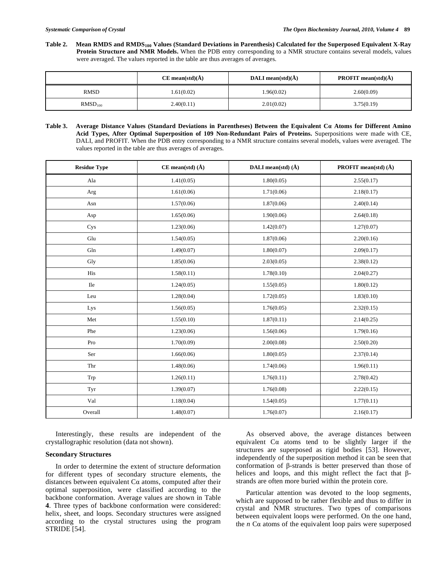Table 2. Mean RMDS and RMDS<sub>100</sub> Values (Standard Deviations in Parenthesis) Calculated for the Superposed Equivalent X-Ray **Protein Structure and NMR Models.** When the PDB entry corresponding to a NMR structure contains several models, values were averaged. The values reported in the table are thus averages of averages.

|              | $CE$ mean(std)( $\AA$ ) | DALI mean $(std)(\dot{A})$ | <b>PROFIT</b> mean(std) $(\tilde{A})$ |
|--------------|-------------------------|----------------------------|---------------------------------------|
| <b>RMSD</b>  | 1.61(0.02)              | .96(0.02)                  | 2.60(0.09)                            |
| $RMSD_{100}$ | 2.40(0.11)              | 2.01(0.02)                 | 3.75(0.19)                            |

Table 3. Average Distance Values (Standard Deviations in Parentheses) Between the Equivalent Ca Atoms for Different Amino **Acid Types, After Optimal Superposition of 109 Non-Redundant Pairs of Proteins.** Superpositions were made with CE, DALI, and PROFIT. When the PDB entry corresponding to a NMR structure contains several models, values were averaged. The values reported in the table are thus averages of averages.

| <b>Residue Type</b> | $CE$ mean(std) $(\AA)$ | DALI mean(std) $(\AA)$ | <b>PROFIT</b> mean(std) $(\AA)$ |
|---------------------|------------------------|------------------------|---------------------------------|
| Ala                 | 1.41(0.05)             | 1.80(0.05)             | 2.55(0.17)                      |
| Arg                 | 1.61(0.06)             | 1.71(0.06)             | 2.18(0.17)                      |
| Asn                 | 1.57(0.06)             | 1.87(0.06)             | 2.40(0.14)                      |
| Asp                 | 1.65(0.06)             | 1.90(0.06)             | 2.64(0.18)                      |
| Cys                 | 1.23(0.06)             | 1.42(0.07)             | 1.27(0.07)                      |
| Glu                 | 1.54(0.05)             | 1.87(0.06)             | 2.20(0.16)                      |
| Gln                 | 1.49(0.07)             | 1.80(0.07)             | 2.09(0.17)                      |
| Gly                 | 1.85(0.06)             | 2.03(0.05)             | 2.38(0.12)                      |
| His                 | 1.58(0.11)             | 1.78(0.10)             | 2.04(0.27)                      |
| Ile                 | 1.24(0.05)             | 1.55(0.05)             | 1.80(0.12)                      |
| Leu                 | 1.28(0.04)             | 1.72(0.05)             | 1.83(0.10)                      |
| Lys                 | 1.56(0.05)             | 1.76(0.05)             | 2.32(0.15)                      |
| Met                 | 1.55(0.10)             | 1.87(0.11)             | 2.14(0.25)                      |
| Phe                 | 1.23(0.06)             | 1.56(0.06)             | 1.79(0.16)                      |
| Pro                 | 1.70(0.09)             | 2.00(0.08)             | 2.50(0.20)                      |
| Ser                 | 1.66(0.06)             | 1.80(0.05)             | 2.37(0.14)                      |
| Thr                 | 1.48(0.06)             | 1.74(0.06)             | 1.96(0.11)                      |
| Trp                 | 1.26(0.11)             | 1.76(0.11)             | 2.78(0.42)                      |
| Tyr                 | 1.39(0.07)             | 1.76(0.08)             | 2.22(0.15)                      |
| Val                 | 1.18(0.04)             | 1.54(0.05)             | 1.77(0.11)                      |
| Overall             | 1.48(0.07)             | 1.76(0.07)             | 2.16(0.17)                      |

 Interestingly, these results are independent of the crystallographic resolution (data not shown).

# **Secondary Structures**

 In order to determine the extent of structure deformation for different types of secondary structure elements, the distances between equivalent  $Ca$  atoms, computed after their optimal superposition, were classified according to the backbone conformation. Average values are shown in Table **4**. Three types of backbone conformation were considered: helix, sheet, and loops. Secondary structures were assigned according to the crystal structures using the program STRIDE [54].

 As observed above, the average distances between equivalent  $Ca$  atoms tend to be slightly larger if the structures are superposed as rigid bodies [53]. However, independently of the superposition method it can be seen that conformation of  $\beta$ -strands is better preserved than those of helices and loops, and this might reflect the fact that  $\beta$ strands are often more buried within the protein core.

 Particular attention was devoted to the loop segments, which are supposed to be rather flexible and thus to differ in crystal and NMR structures. Two types of comparisons between equivalent loops were performed. On the one hand, the  $n$  C $\alpha$  atoms of the equivalent loop pairs were superposed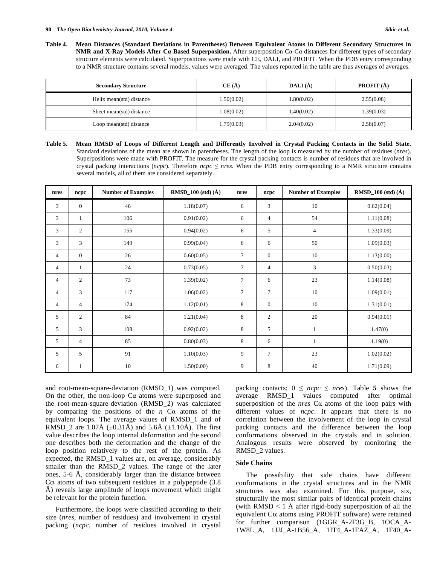| <b>Secondary Structure</b> | CE(A)      | DALI $(\AA)$ | <b>PROFIT</b> $(A)$ |
|----------------------------|------------|--------------|---------------------|
| Helix mean(std) distance   | 1.50(0.02) | 1.80(0.02)   | 2.55(0.08)          |
| Sheet mean(std) distance   | 1.08(0.02) | 1.40(0.02)   | 1.39(0.03)          |
| Loop mean(std) distance    | 1.79(0.03) | 2.04(0.02)   | 2.58(0.07)          |

**Table 5. Mean RMSD of Loops of Different Length and Differently Involved in Crystal Packing Contacts in the Solid State.**  Standard deviations of the mean are shown in parentheses. The length of the loop is measured by the number of residues (*nres*). Superpositions were made with PROFIT. The measure for the crystal packing contacts is number of residues that are involved in crystal packing interactions (*ncpc*). Therefore *ncpc*  $\leq$  *nres*. When the PDB entry corresponding to a NMR structure contains several models, all of them are considered separately.

| nres           | ncpc           | <b>Number of Examples</b> | $RMSD_100$ (std) $(\AA)$ | nres           | ncpc           | <b>Number of Examples</b> | <b>RMSD_100</b> (std) $(\hat{A})$ |
|----------------|----------------|---------------------------|--------------------------|----------------|----------------|---------------------------|-----------------------------------|
| 3              | $\overline{0}$ | 46                        | 1.18(0.07)               | 6              | 3              | 10                        | 0.62(0.04)                        |
| 3              | $\mathbf{1}$   | 106                       | 0.91(0.02)               | 6              | $\overline{4}$ | 54                        | 1.11(0.08)                        |
| 3              | 2              | 155                       | 0.94(0.02)               | 6              | 5              | $\overline{4}$            | 1.33(0.09)                        |
| 3              | 3              | 149                       | 0.99(0.04)               | 6              | 6              | 50                        | 1.09(0.03)                        |
| $\overline{4}$ | $\overline{0}$ | 26                        | 0.60(0.05)               | $\overline{7}$ | $\mathbf{0}$   | 10                        | 1.13(0.00)                        |
| 4              | $\mathbf{1}$   | 24                        | 0.73(0.05)               | 7              | $\overline{4}$ | 3                         | 0.50(0.03)                        |
| $\overline{4}$ | $\overline{2}$ | 73                        | 1.39(0.02)               | $\overline{7}$ | 6              | 23                        | 1.14(0.08)                        |
| $\overline{4}$ | 3              | 117                       | 1.06(0.02)               | $\tau$         | $\overline{7}$ | 10                        | 1.09(0.01)                        |
| $\overline{4}$ | $\overline{4}$ | 174                       | 1.12(0.01)               | 8              | $\mathbf{0}$   | 10                        | 1.31(0.01)                        |
| 5              | $\overline{2}$ | 84                        | 1.21(0.04)               | 8              | 2              | 20                        | 0.94(0.01)                        |
| 5              | 3              | 108                       | 0.92(0.02)               | 8              | 5              | 1                         | 1.47(0)                           |
| 5              | $\overline{4}$ | 85                        | 0.80(0.03)               | 8              | 6              |                           | 1.19(0)                           |
| 5              | 5              | 91                        | 1.10(0.03)               | 9              | $\overline{7}$ | 23                        | 1.02(0.02)                        |
| 6              | $\mathbf{1}$   | 10                        | 1.50(0.00)               | 9              | 8              | 40                        | 1.71(0.09)                        |

and root-mean-square-deviation (RMSD\_1) was computed. On the other, the non-loop  $Ca$  atoms were superposed and the root-mean-square-deviation (RMSD\_2) was calculated by comparing the positions of the  $n$  C $\alpha$  atoms of the equivalent loops. The average values of RMSD\_1 and of RMSD 2 are 1.07Å ( $\pm$ 0.31Å) and 5.6Å ( $\pm$ 1.10Å). The first value describes the loop internal deformation and the second one describes both the deformation and the change of the loop position relatively to the rest of the protein. As expected, the RMSD\_1 values are, on average, considerably smaller than the RMSD\_2 values. The range of the later ones, 5-6 Å, considerably larger than the distance between C $\alpha$  atoms of two subsequent residues in a polypeptide (3.8) Å) reveals large amplitude of loops movement which might be relevant for the protein function.

 Furthermore, the loops were classified according to their size (*nres*, number of residues) and involvement in crystal packing (*ncpc,* number of residues involved in crystal packing contacts;  $0 \leq ncpc \leq nres$ ). Table 5 shows the average RMSD\_1 values computed after optimal superposition of the *nres*  $Ca$  atoms of the loop pairs with different values of *ncpc*. It appears that there is no correlation between the involvement of the loop in crystal packing contacts and the difference between the loop conformations observed in the crystals and in solution. Analogous results were observed by monitoring the RMSD\_2 values.

# **Side Chains**

 The possibility that side chains have different conformations in the crystal structures and in the NMR structures was also examined. For this purpose, six, structurally the most similar pairs of identical protein chains (with  $RMSD < 1$  Å after rigid-body superposition of all the equivalent  $C\alpha$  atoms using PROFIT software) were retained for further comparison (1GGR\_A-2F3G\_B, 1OCA\_A-1W8L\_A, 1JJJ\_A-1B56\_A, 1IT4\_A-1FAZ\_A, 1F40\_A-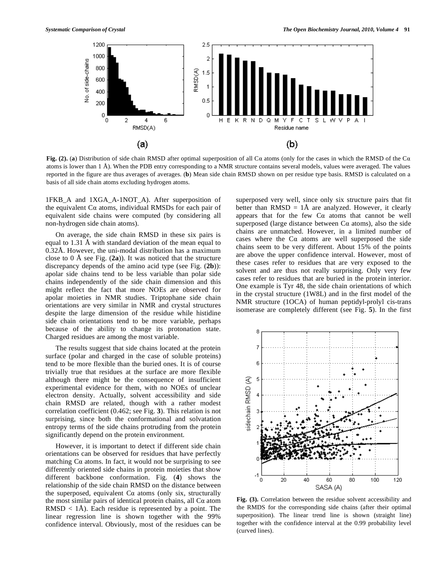

**Fig.** (2). (a) Distribution of side chain RMSD after optimal superposition of all  $Ca$  atoms (only for the cases in which the RMSD of the  $Ca$ atoms is lower than 1 Å). When the PDB entry corresponding to a NMR structure contains several models, values were averaged. The values reported in the figure are thus averages of averages. (**b**) Mean side chain RMSD shown on per residue type basis. RMSD is calculated on a basis of all side chain atoms excluding hydrogen atoms.

1FKB\_A and 1XGA\_A-1NOT\_A). After superposition of the equivalent  $Ca$  atoms, individual RMSDs for each pair of equivalent side chains were computed (by considering all non-hydrogen side chain atoms).

 On average, the side chain RMSD in these six pairs is equal to 1.31 Å with standard deviation of the mean equal to 0.32Å. However, the uni-modal distribution has a maximum close to 0 Å see Fig. (**2a**)). It was noticed that the structure discrepancy depends of the amino acid type (see Fig. (**2b**)): apolar side chains tend to be less variable than polar side chains independently of the side chain dimension and this might reflect the fact that more NOEs are observed for apolar moieties in NMR studies. Triptophane side chain orientations are very similar in NMR and crystal structures despite the large dimension of the residue while histidine side chain orientations tend to be more variable, perhaps because of the ability to change its protonation state. Charged residues are among the most variable.

 The results suggest that side chains located at the protein surface (polar and charged in the case of soluble proteins) tend to be more flexible than the buried ones. It is of course trivially true that residues at the surface are more flexible although there might be the consequence of insufficient experimental evidence for them, with no NOEs of unclear electron density. Actually, solvent accessibility and side chain RMSD are related, though with a rather modest correlation coefficient (0.462; see Fig. **3**). This relation is not surprising, since both the conformational and solvatation entropy terms of the side chains protruding from the protein significantly depend on the protein environment.

 However, it is important to detect if different side chain orientations can be observed for residues that have perfectly matching  $Ca$  atoms. In fact, it would not be surprising to see differently oriented side chains in protein moieties that show different backbone conformation. Fig. (**4**) shows the relationship of the side chain RMSD on the distance between the superposed, equivalent  $Ca$  atoms (only six, structurally the most similar pairs of identical protein chains, all  $Ca$  atom  $RMSD < 1\AA$ ). Each residue is represented by a point. The linear regression line is shown together with the 99% confidence interval. Obviously, most of the residues can be

superposed very well, since only six structure pairs that fit better than  $RMSD = 1\AA$  are analyzed. However, it clearly appears that for the few  $Ca$  atoms that cannot be well superposed (large distance between  $Ca$  atoms), also the side chains are unmatched. However, in a limited number of cases where the  $Ca$  atoms are well superposed the side chains seem to be very different. About 15% of the points are above the upper confidence interval. However, most of these cases refer to residues that are very exposed to the solvent and are thus not really surprising. Only very few cases refer to residues that are buried in the protein interior. One example is Tyr 48, the side chain orientations of which in the crystal structure (1W8L) and in the first model of the NMR structure (1OCA) of human peptidyl-prolyl cis-trans isomerase are completely different (see Fig. **5**). In the first



**Fig. (3).** Correlation between the residue solvent accessibility and the RMDS for the corresponding side chains (after their optimal superposition). The linear trend line is shown (straight line) together with the confidence interval at the 0.99 probability level (curved lines).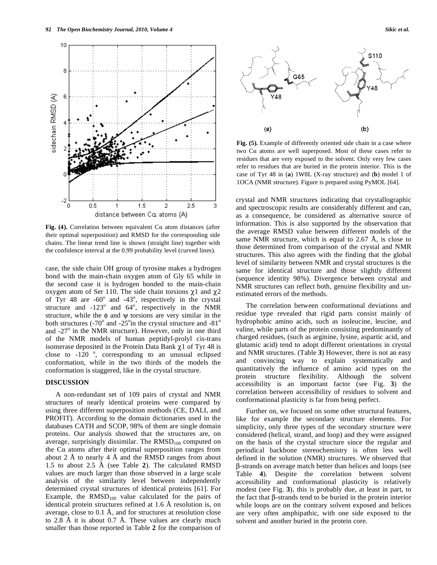

Fig. (4). Correlation between equivalent  $Ca$  atom distances (after their optimal superposition) and RMSD for the corresponding side chains. The linear trend line is shown (straight line) together with the confidence interval at the 0.99 probability level (curved lines).

case, the side chain OH group of tyrosine makes a hydrogen bond with the main-chain oxygen atom of Gly 65 while in the second case it is hydrogen bonded to the main-chain oxygen atom of Ser 110. The side chain torsions  $\chi$ 1 and  $\chi$ 2 of Tyr 48 are -60 $^{\circ}$  and -43 $^{\circ}$ , respectively in the crystal structure and  $-123^\circ$  and  $64^\circ$ , respectively in the NMR structure, while the  $\phi$  and  $\psi$  torsions are very similar in the both structures (-70 $^{\circ}$  and -25 $^{\circ}$ in the crystal structure and -81 $^{\circ}$ and -27° in the NMR structure). However, only in one third of the NMR models of human peptidyl-prolyl cis-trans isomerase deposited in the Protein Data Bank  $\chi$ 1 of Tyr 48 is close to  $-120$   $\degree$ , corresponding to an unusual eclipsed conformation, while in the two thirds of the models the conformation is staggered, like in the crystal structure.

### **DISCUSSION**

 A non-redundant set of 109 pairs of crystal and NMR structures of nearly identical proteins were compared by using three different superposition methods (CE, DALI, and PROFIT). According to the domain dictionaries used in the databases CATH and SCOP, 98% of them are single domain proteins. Our analysis showed that the structures are, on average, surprisingly dissimilar. The  $RMSD<sub>100</sub>$  computed on the  $Ca$  atoms after their optimal superposition ranges from about 2 Å to nearly 4 Å and the RMSD ranges from about 1.5 to about 2.5 Å (see Table **2**). The calculated RMSD values are much larger than those observed in a large scale analysis of the similarity level between independently determined crystal structures of identical proteins [61]. For Example, the  $RMSD<sub>100</sub>$  value calculated for the pairs of identical protein structures refined at 1.6 Å resolution is, on average, close to 0.1 Å, and for structures at resolution close to 2.8 Å it is about 0.7 Å. These values are clearly much smaller than those reported in Table **2** for the comparison of



**Fig. (5).** Example of differently oriented side chain in a case where two  $Ca$  atoms are well superposed. Most of these cases refer to residues that are very exposed to the solvent. Only very few cases refer to residues that are buried in the protein interior. This is the case of Tyr 48 in (**a**) 1W8L (X-ray structure) and (**b**) model 1 of 1OCA (NMR structure). Figure is prepared using PyMOL [64].

crystal and NMR structures indicating that crystallographic and spectroscopic results are considerably different and can, as a consequence, be considered as alternative source of information. This is also supported by the observation that the average RMSD value between different models of the same NMR structure, which is equal to  $2.67 \text{ Å}$ , is close to those determined from comparison of the crystal and NMR structures. This also agrees with the finding that the global level of similarity between NMR and crystal structures is the same for identical structure and those slightly different (sequence identity 98%). Divergence between crystal and NMR structures can reflect both, genuine flexibility and unestimated errors of the methods.

 The correlation between conformational deviations and residue type revealed that rigid parts consist mainly of hydrophobic amino acids, such as isoleucine, leucine, and valine, while parts of the protein consisting predominantly of charged residues, (such as arginine, lysine, aspartic acid, and glutamic acid) tend to adopt different orientations in crystal and NMR structures. (Table **3**) However, there is not an easy and convincing way to explain systematically and quantitatively the influence of amino acid types on the protein structure flexibility. Although the solvent accessibility is an important factor (see Fig. **3**) the correlation between accessibility of residues to solvent and conformational plasticity is far from being perfect.

 Further on, we focused on some other structural features, like for example the secondary structure elements. For simplicity, only three types of the secondary structure were considered (helical, strand, and loop) and they were assigned on the basis of the crystal structure since the regular and periodical backbone stereochemistry is often less well defined in the solution (NMR) structures. We observed that -strands on average match better than helices and loops (see Table **4**). Despite the correlation between solvent accessibility and conformational plasticity is relatively modest (see Fig. **3**), this is probably due, at least in part, to the fact that  $\beta$ -strands tend to be buried in the protein interior while loops are on the contrary solvent exposed and helices are very often amphipathic, with one side exposed to the solvent and another buried in the protein core.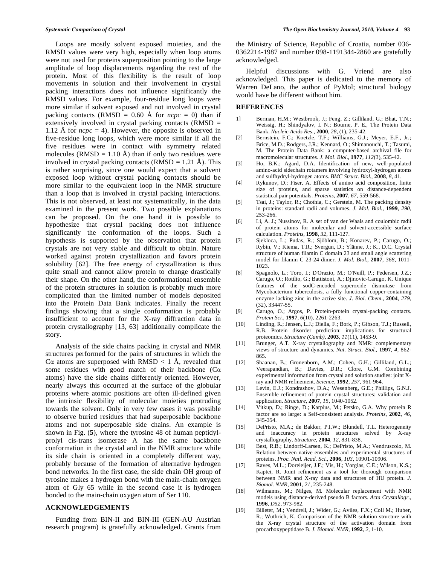Loops are mostly solvent exposed moieties, and the RMSD values were very high, especially when loop atoms were not used for proteins superposition pointing to the large amplitude of loop displacements regarding the rest of the protein. Most of this flexibility is the result of loop movements in solution and their involvement in crystal packing interactions does not influence significantly the RMSD values. For example, four-residue long loops were more similar if solvent exposed and not involved in crystal packing contacts (RMSD =  $0.60$  Å for  $ncpc = 0$ ) than if extensively involved in crystal packing contacts (RMSD = 1.12 Å for  $ncpc = 4$ ). However, the opposite is observed in five-residue long loops, which were more similar if all the five residues were in contact with symmetry related molecules (RMSD = 1.10 Å) than if only two residues were involved in crystal packing contacts (RMSD =  $1.21 \text{ Å}$ ). This is rather surprising, since one would expect that a solvent exposed loop without crystal packing contacts should be more similar to the equivalent loop in the NMR structure than a loop that is involved in crystal packing interactions. This is not observed, at least not systematically, in the data examined in the present work. Two possible explanations can be proposed. On the one hand it is possible to hypothesize that crystal packing does not influence significantly the conformation of the loops. Such a hypothesis is supported by the observation that protein crystals are not very stable and difficult to obtain. Nature worked against protein crystallization and favors protein solubility [62]. The free energy of crystallization is thus quite small and cannot allow protein to change drastically their shape. On the other hand, the conformational ensemble of the protein structures in solution is probably much more complicated than the limited number of models deposited into the Protein Data Bank indicates. Finally the recent findings showing that a single conformation is probably insufficient to account for the X-ray diffraction data in protein crystallography [13, 63] additionally complicate the story.

 Analysis of the side chains packing in crystal and NMR structures performed for the pairs of structures in which the C $\alpha$  atoms are superposed with RMSD < 1 Å, revealed that some residues with good match of their backbone ( $Ca$ atoms) have the side chains differently oriented. However, nearly always this occurred at the surface of the globular proteins where atomic positions are often ill-defined given the intrinsic flexibility of molecular moieties protruding towards the solvent. Only in very few cases it was possible to observe buried residues that had superposable backbone atoms and not superposable side chains. An example is shown in Fig. (**5**), where the tyrosine 48 of human peptidylprolyl cis-trans isomerase A has the same backbone conformation in the crystal and in the NMR structure while its side chain is oriented in a completely different way, probably because of the formation of alternative hydrogen bond networks. In the first case, the side chain OH group of tyrosine makes a hydrogen bond with the main-chain oxygen atom of Gly 65 while in the second case it is hydrogen bonded to the main-chain oxygen atom of Ser 110.

# **ACKNOWLEDGEMENTS**

 Funding from BIN-II and BIN-III (GEN-AU Austrian research program) is gratefully acknowledged. Grants from the Ministry of Science, Republic of Croatia, number 036- 0362214-1987 and number 098-1191344-2860 are gratefully acknowledged.

 Helpful discussions with G. Vriend are also acknowledged. This paper is dedicated to the memory of Warren DeLano, the author of PyMol; structural biology would have be different without him.

### **REFERENCES**

- 1] Berman, H.M.; Westbrook, J.; Feng, Z.; Gilliland, G.; Bhat, T.N.; Weissig, H.; Shindyalov, I. N.; Bourne, P. E., The Protein Data Bank. *Nucleic Acids Res*., **2000**, *28*, (1), 235-42.
- [2] Bernstein, F.C.; Koetzle, T.F.; Williams, G.J.; Meyer, E.F., Jr.; Brice, M.D.; Rodgers, J.R.; Kennard, O.; Shimanouchi, T.; Tasumi, M. The Protein Data Bank: a computer-based archival file for macromolecular structures. *J*. *Mol*. *Biol*., **1977**, *112*(3), 535-42.
- [3] Ho, B.K.; Agard, D.A. Identification of new, well-populated amino-acid sidechain rotamers involving hydroxyl-hydrogen atoms and sulfhydryl-hydrogen atoms. *BMC Struct. Biol.*, **2008**, *8*, 41.
- [4] Rykunov, D.; Fiser, A. Effects of amino acid composition, finite size of proteins, and sparse statistics on distance-dependent statistical pair potentials. *Proteins*, **2007**, *67*, 559-568.
- [5] Tsai, J.; Taylor, R.; Chothia, C.; Gerstein, M. The packing density in proteins: standard radii and volumes. *J. Mol. Biol.*, **1999**, *290*, 253-266.
- [6] Li, A. J.; Nussinov, R. A set of van der Waals and coulombic radii of protein atoms for molecular and solvent-accessible surface calculation. *Proteins*, **1998**, *32*, 111-127.
- [7] Sjekloca, L.; Pudas, R.; Sjöblom, B.; Konarev, P.; Carugo, O.; Rybin, V.; Kiema, T.R.; Svergun, D.; Ylänne, J.; K., D.C. Crystal structure of human filamin C domain 23 and small angle scattering model for filamin C 23-24 dimer. *J. Mol. Biol.*, **2007**, *368*, 1011- 1023.
- [8] Spagnolo, L.; Toro, I.; D'Orazio, M.; O'Neill, P.; Pedersen, J.Z.; Carugo, O.; Rotilio, G.; Battistoni, A.; Djinovic-Carugo, K. Unique features of the sodC-encoded superoxide dismutase from Mycobacterium tuberculosis, a fully functional copper-containing enzyme lacking zinc in the active site. *J*. *Biol*. *Chem*., **2004**, *279*, (32), 33447-55.
- [9] Carugo, O.; Argos, P. Protein-protein crystal-packing contacts. *Protein Sci.*, **1997**, *6*(10), 2261-2263.
- [10] Linding, R.; Jensen, L.J.; Diella, F.; Bork, P.; Gibson, T.J.; Russell, R.B. Protein disorder prediction: implications for structural proteomics. *Structure (Camb),* **2003**, *11*(11), 1453-9.
- [11] Brunger, A.T. X-ray crystallography and NMR: complementary views of structure and dynamics. *Nat. Struct. Biol.*, **1997**, *4*, 862- 865.
- [12] Shaanan, B.; Gronenborn, A.M.; Cohen, G.H.; Gilliland, G.L.; Veerapandian, B.; Davies, D.R.; Clore, G.M. Combining experimental information from crystal and solution studies: joint Xray and NMR refinement. *Science*, **1992**, *257*, 961-964.
- [13] Levin, E.J.; Kondrashov, D.A.; Wesenberg, G.E.; Phillips, G.N.J. Ensemble refinement of protein crystal structures: validation and application. *Structure*, **2007**, *15*, 1040-1052.
- [14] Vitkup, D.; Ringe, D.; Karplus, M.; Petsko, G.A. Why protein R factor are so large: a Self-consistent analysis. *Proteins*, **2002**, *46,* 345-354.
- [15] DePristo, M.A.; de Bakker, P.I.W.; Blundell, T.L. Heterogeneity and inaccuracy in protein structures solved by X-ray crystallography. *Structure*, **2004**, *12*, 831-838.
- [16] Best, R.B.; Lindorff-Larsen, K.; DePristo, M.A.; Vendruscolo, M. Relation between native ensembles and experimental structures of proteins. *Proc. Natl. Acad. Sci.*, **2006**, *103*, 10901-10906.
- [17] Raves, M.L.; Doreleijer, J.F.; Vis, H.; Vorgias, C.E.; Wilson, K.S.; Kaptei, R. Joint refinement as a tool for thorough comparison between NMR and X-ray data and structures of HU protein. *J. Biomol. NMR*, **2001**, *21*, 235-248.
- [18] Wilmanns, M.; Nilges, M. Molecular replacement with NMR models using distance-derived pseudo B factors. *Acta Crystallogr.*, **1996**, *D52*, 973-982.
- [19] Billeter, M.; Vendrell, J.; Wider, G.; Aviles, F.X.; Coll M.; Huber, R.; Wuthrich, K. Comparison of the NMR solution structure with the X-ray crystal structure of the activation domain from procarboxypeptidase B. *J. Biomol. NMR*, **1992**, *2*, 1-10.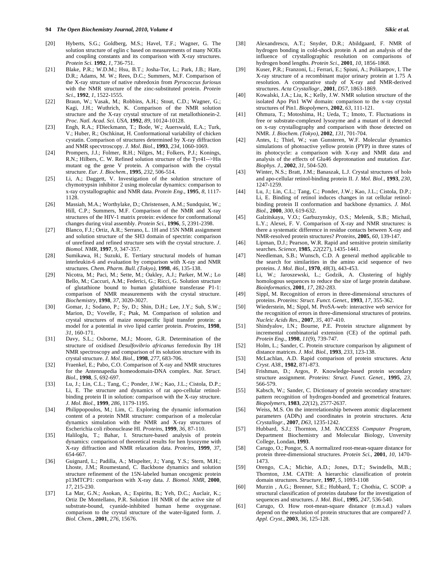- [20] Hyberts, S.G.; Goldberg, M.S.; Havel, T.F.; Wagner, G. The solution structure of eglin c based on measurements of many NOEs and coupling constants and its comparison with X-ray structures. *Protein Sci.* **1992**, *1*, 736-751.
- [21] Blake, P.R.; W.D.M.; Hsu, B.T.; Josha-Tor, L.; Park, J.B.; Hare, D.R.; Adams, M. W.; Rees, D.C.; Summers, M.F. Comparison of the X-ray structure of native rubredoxin from *Pyrococcus furiosus* with the NMR structure of the zinc-substituted protein. *Protein Sci.*, **1992**, *1*, 1522-1555.
- [22] Braun, W.; Vasak, M.; Robbins, A.H.; Stout, C.D.; Wagner, G.; Kagi, J.H.; Wuthrich, K. Comparison of the NMR solution structure and the X-ray crystal structure of rat metallothionein-2. *Proc. Natl. Acad. Sci. USA*, **1992**, *89*, 10124-10128.
- [23] Engh, R.A.; FDieckmann, T.; Bode, W.; Auerswald, E.A.; Turk, V.; Huber, R.; Oschkinat, H. Conformational variability of chicken cystatin. Comparison of structures determined by X-ray diffraction and NMR specvtroscopy. *J. Mol. Biol.*, **1993**, *234*, 1060-1069.
- [24] Prompers, J.J.; Folmer, R.H.; Nilges, M.; Folkers, P.J.; Konings, R.N.; Hilbers, C. W. Refined solution structure of the Tyr41-->His mutant og the gene V protein. A comparison with the crystal structure. *Eur. J. Biochem.*, **1995**, *232*, 506-514.
- [25] Li, A.; Daggett, V. Investigation of the solution structure of chymotrypsin inhibitor 2 using molecular dynamics: comparison to x-ray crystallographic and NMR data. *Protein Eng.*, **1995**, *8*, 1117- 1128.
- [26] Massiah, M.A.; Worthylake, D.; Christensen, A.M.; Sundquist, W.; Hill, C.P.; Summers, M.F. Comparison of the NMR and X-ray structures of the HIV-1 matrix protein: evidence for conformational changes during viral assembly. *Protein Sci.*, **1996**, *5*, 2391-2398.
- [27] Blanco, F.J.; Ortiz, A.R.; Serrano, L. 1H and 15N NMR assignment and solution structure of the SH3 domain of spectrin: comparison of unrefined and refined structure sets with the crystal structure. *J. Biomol. NMR*, **1997**, *9*, 347-357.
- [28] Sumikawa, H.; Suzuki, E. Tertiary structural models of human interleukin-6 and evaluation by comparison with X-ray and NMR structures. *Chem. Pharm. Bull. (Tokyo)*, **1998**, *46*, 135-138.
- [29] Nicotra, M.; Paci, M.; Sette, M.; Oakley, A.J.; Parker, M.W.; Lo Bello, M.; Caccuri, A.M.; Federici, G.; Ricci, G. Solution structure of glutathione bound to human glutathione transferase P1-1: comparison of NMR measurements with the crystal structure. *Biochemistry*, **1998**, *37*, 3020-3027.
- [30] Gomar, J.; Sodano, P.; Sy, D.; Shin, D.H.; Lee, J.Y.; Suh, S.W.; Marion, D.; Vovelle, F.; Ptak, M. Comparison of solution and crystal structures of maize nonspecific lipid transfer protein: a model for a potential *in vivo* lipid carrier protein. *Proteins*, **1998**, *31*, 160-171.
- [31] Davy, S.L.; Osborne, M.J.; Moore, G.R. Determination of the structure of oxidised *Desulfovibrio africanus* ferredoxin Iby 1H NMR spectroscopy and comparison of its solution structure with its crystal structure. *J. Mol. Biol.*, **1998**, *277*, 683-706.
- [32] Fraenkel, E.; Pabo, C.O. Comparison of X-ray and NMR structures for the Antennapedia homeodomain-DNA complex. *Nat. Struct. Biol.*, **1998**, *5*, 692-697.
- [33] Lu, J.; Lin, C.L.; Tang, C.; Ponder, J.W.; Kao, J.L.; Cistola, D.P.; Li, E. The structure and dynamics of rat apo-cellular retinolbinding protein II in solution: comparison with the X-ray structure. *J. Mol. Biol.*, **1999**, *286*, 1179-1195.
- [34] Philippopoulos, M.; Lim, C. Exploring the dynamic information content of a protein NMR structure: comparison of a molecular dynamics simulation with the NMR and X-ray structures of Escherichia coli ribonuclease HI. *Proteins*, **1999**, *36*, 87-110.
- [35] Haliloglu, T.; Bahar, I. Structure-based analysis of protein dynamics: comparison of theoretical results for hen lysozyme with X-ray diffraction and NMR relaxation data. *Proteins*, **1999**, *37*, 654-667.
- [36] Guignard, L.; Padilla, A.; Mispelter, J.; Yang, Y.S.; Stern, M.H.; Lhoste, J.M.; Roumestand, C. Backbone dynamics and solution structure refinement of the 15N-labeled human oncogenic protein p13MTCP1: comparison with X-ray data. *J. Biomol. NMR*, **2000**, *17*, 215-230.
- [37] La Mar, G.N.; Asokan, A.; Espiritu, B.; Yeh, D.C.; Auclair, K.; Ortiz De Montellano, P.R. Solution 1H NMR of the active site of substrate-bound, cyanide-inhibited human heme oxygenase. comparison to the crystal structure of the water-ligated form. *J. Biol. Chem.*, **2001**, *276*, 15676.
- [38] Alexandrescu, A.T.; Snyder, D.R.; Abildgaard, F. NMR of hydrogen bonding in cold-shock protein A and an analysis of the influence of crystallographic resolution on comparisons of hydrogen bond lengths. *Protein Sci.*, **2001**, *10*, 1856-1868.
- [39] Kuser, P.R.; Franzoni, L.; Ferrari, E.; Spisni, A.; Polikarpov, I. The X-ray structure of a recombinant major urinary protein at 1.75 A resolution. A comparative study of X-ray and NMR-derived structures. *Acta Crystallogr.*, **2001**, *D57*, 1863-1869.
- [40] Kowalski, J.A.; Liu, K.; Kelly, J.W. NMR solution structure of the isolated Apo Pin1 WW domain: comparison to the x-ray crystal structures of Pin1. *Biopolymers*, **2002**, *63*, 111-121.
- [41] Ohmura, T.; Motoshima, H.; Ueda, T.; Imoto, T. Fluctuations in free or substrate-complexed lysozyme and a mutant of it detected on x-ray crystallography and comparison with those detected on NMR. *J. Biochem. (Tokyo)*, **2002**, *131*, 701-704.
- [42] Antes, I.; Thiel, W.; van Gunsteren, W.F. Molecular dynamics simulations of photoactive yellow protein (PYP) in three states of its photocycle: a comparison with X-ray and NMR data and analysis of the effects of Glu46 deprotonation and mutation. *Eur. Biophys. J.*, **2002**, *31*, 504-520.
- [43] Winter, N.S.; Bratt, J.M.; Banaszak, L.J. Crystal structures of holo and apo-cellular retinol-binding protein II. *J. Mol. Biol.*, **1993**, *230*, 1247-1259.
- [44] Lu, J.; Lin, C.L.; Tang, C.; Ponder, J.W.; Kao, J.L.; Cistola, D.P.; Li, E. Binding of retinol induces changes in rat cellular retinolbinding protein II conformation and backbone dynamics. *J. Mol. Biol.*, **2000**, *300*, 619-632.
- [45] Galzitskaya, V.O.; Garbuzynskiy, O.S.; Melenik, S.B.; Michail, L.Y.; Alexei, F. V. Comparison of X-ray and NMR structures: is there a systematic difference in residue contacts between X-ray and NMR-resolved protein structures? *Proteins*, **2005**, *60*, 139-147.
- [46] Lipman, D.J.; Pearson, W.R. Rapid and sensitive protein similarity searches. *Science*, **1985**, *22*(227), 1435-1441.
- [47] Needleman, S.B.; Wunsch, C.D. A general method applicable to the search for similarities in the amino acid sequence of two proteins. *J. Mol. Biol*., **1970**, *48*(3), 443-453.
- [48] Li, W.; Jaroszewski, L.; Godzik, A. Clustering of highly homologous sequences to reduce the size of large protein database. *Bioinformatics*, **2001**, *17*, 282-283.
- [49] Sippl, M. Recognition of errors in three-dimensional structures of proteins. *Proteins: Struct. Funct. Genet.*, **1993**, *17*, 355-362.
- [50] Wiederstein, M.; Sippl, M. ProSA-web: interactive web service for the recognition of errors in three-dimensional structures of proteins. *Nucleic Acids Res.*, **2007**, *35*, 407-410.
- [51] Shindyalov, I.N.; Bourne, P.E. Protein structure alignment by incremental combinatorial extension (CE) of the optimal path. *Protein Eng.*, **1998**, *11*(9), 739-747.
- [52] Holm, L.; Sander, C. Protein structure comparison by alignment of distance matrices. *J. Mol. Biol.*, **1993**, *233*, 123-138.
- [53] McLachlan, A.D. Rapid comparison of protein structures. *Acta Cryst*. *A38*., **1982**, 871-873.
- [54] Frishman, D.; Argos, P. Knowledge-based protein secondary structure assignment. *Proteins: Struct. Funct. Genet.,* **1995**, *23*, 566-579.
- [55] Kabsch, W.; Sander, C. Dictionary of protein secondary structure: pattern recognition of hydrogen-bonded and geometrical features. *Biopolymers*, **1983**, *22*(12), 2577-2637.
- [56] Weiss, M.S. On the interrelationship between atomic displacement parameters (ADPs) and coordinates in protein structures. *Acta Crystallogr.*, **2007**, *D63*, 1235-1242.
- [57] Hubbard, S.J.; Thornton, J.M. *NACCESS Computer Program*, Department Biochemistry and Molecular Biology, Unversity College, Londan, **1993**.
- [58] Carugo, O.; Pongor, S. A normalized root-mean-square distance for protein three-dimensional structures. *Protein Sci.*, **2001**, *10*, 1470- 1473.
- [59] Orengo, C.A.; Michie, A.D.; Jones, D.T.; Swindells, M.B.; Thornton, J.M. CATH: A hierarchic classification of protein domain structures. *Structure*, **1997**, *5*, 1093-1108
- [60] Murzin , A.G.; Brenner, S.E.; Hubbard, T.; Chothia, C. SCOP: a structural classification of proteins database for the investigation of sequences and structures. *J. Mol. Biol.*, **1995**, *247*, 536-540.
- [61] Carugo, O. How root-mean-square distance (r.m.s.d.) values depend on the resolution of protein structures that are compared? *J. Appl. Cryst.*, **2003**, *36*, 125-128.